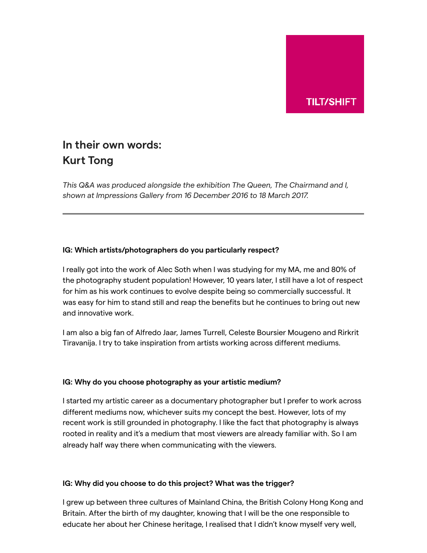

# **In their own words: Kurt Tong**

*This Q&A was produced alongside the exhibition The Queen, The Chairmand and I, shown at Impressions Gallery from 16 December 2016 to 18 March 2017.*

#### **IG: Which artists/photographers do you particularly respect?**

I really got into the work of Alec Soth when I was studying for my MA, me and 80% of the photography student population! However, 10 years later, I still have a lot of respect for him as his work continues to evolve despite being so commercially successful. It was easy for him to stand still and reap the benefits but he continues to bring out new and innovative work.

I am also a big fan of Alfredo Jaar, James Turrell, Celeste Boursier Mougeno and Rirkrit Tiravanija. I try to take inspiration from artists working across different mediums.

#### **IG: Why do you choose photography as your artistic medium?**

I started my artistic career as a documentary photographer but I prefer to work across different mediums now, whichever suits my concept the best. However, lots of my recent work is still grounded in photography. I like the fact that photography is always rooted in reality and it's a medium that most viewers are already familiar with. So I am already half way there when communicating with the viewers.

#### **IG: Why did you choose to do this project? What was the trigger?**

I grew up between three cultures of Mainland China, the British Colony Hong Kong and Britain. After the birth of my daughter, knowing that I will be the one responsible to educate her about her Chinese heritage, I realised that I didn't know myself very well,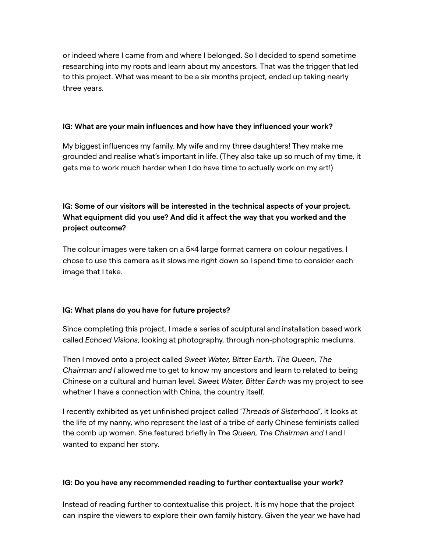or indeed where I came from and where I belonged. So I decided to spend sometime researching into my roots and learn about my ancestors. That was the trigger that led to this project. What was meant to be a six months project, ended up taking nearly three years.

#### **IG: What are your main influences and how have they influenced your work?**

My biggest influences my family. My wife and my three daughters! They make me grounded and realise what's important in life. (They also take up so much of my time, it gets me to work much harder when I do have time to actually work on my art!)

## **IG: Some of our visitors will be interested in the technical aspects of your project. What equipment did you use? And did it affect the way that you worked and the project outcome?**

The colour images were taken on a 5×4 large format camera on colour negatives. I chose to use this camera as it slows me right down so I spend time to consider each image that I take.

### **IG: What plans do you have for future projects?**

Since completing this project. I made a series of sculptural and installation based work called *Echoed Visions*, looking at photography, through non-photographic mediums.

Then I moved onto a project called *Sweet Water, Bitter Earth*. *The Queen, The Chairman and I* allowed me to get to know my ancestors and learn to related to being Chinese on a cultural and human level. *Sweet Water, Bitter Earth* was my project to see whether I have a connection with China, the country itself.

I recently exhibited as yet unfinished project called '*Threads of Sisterhood'*, it looks at the life of my nanny, who represent the last of a tribe of early Chinese feminists called the comb up women. She featured briefly in *The Queen, The Chairman and I* and I wanted to expand her story.

#### **IG: Do you have any recommended reading to further contextualise your work?**

Instead of reading further to contextualise this project. It is my hope that the project can inspire the viewers to explore their own family history. Given the year we have had